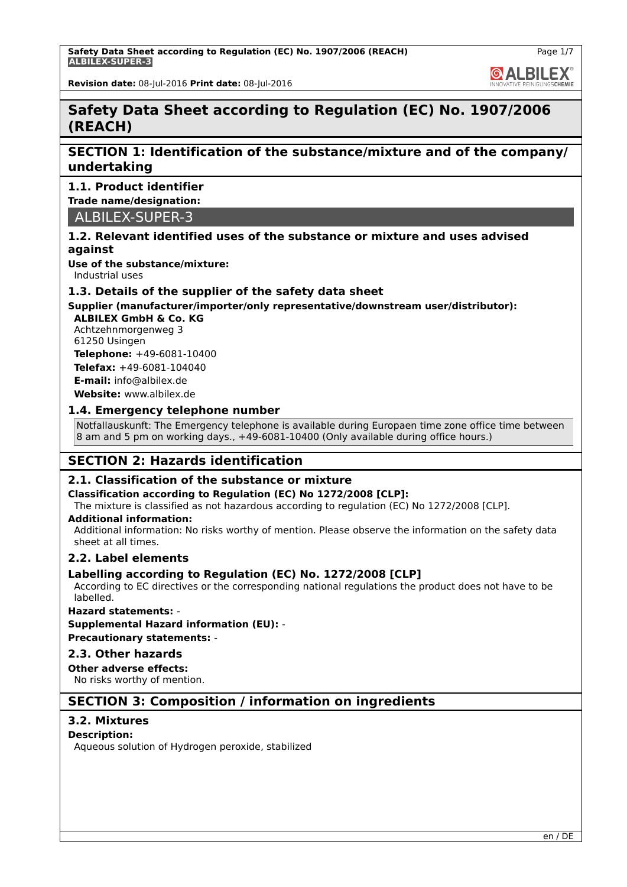**GALBILEX** 

**Revision date:** 08-Jul-2016 **Print date:** 08-Jul-2016

# **Safety Data Sheet according to Regulation (EC) No. 1907/2006 (REACH)**

# **SECTION 1: Identification of the substance/mixture and of the company/ undertaking**

## **1.1. Product identifier**

**Trade name/designation:**

ALBILEX-SUPER-3

## **1.2. Relevant identified uses of the substance or mixture and uses advised against**

**Use of the substance/mixture:**

Industrial uses

## **1.3. Details of the supplier of the safety data sheet**

# **Supplier (manufacturer/importer/only representative/downstream user/distributor):**

**ALBILEX GmbH & Co. KG** Achtzehnmorgenweg 3 61250 Usingen

**Telephone:** +49-6081-10400 **Telefax:** +49-6081-104040

**E-mail:** info@albilex.de

**Website:** www.albilex.de

## **1.4. Emergency telephone number**

Notfallauskunft: The Emergency telephone is available during Europaen time zone office time between 8 am and 5 pm on working days., +49-6081-10400 (Only available during office hours.)

# **SECTION 2: Hazards identification**

# **2.1. Classification of the substance or mixture**

## **Classification according to Regulation (EC) No 1272/2008 [CLP]:**

The mixture is classified as not hazardous according to regulation (EC) No 1272/2008 [CLP].

### **Additional information:**

Additional information: No risks worthy of mention. Please observe the information on the safety data sheet at all times.

## **2.2. Label elements**

## **Labelling according to Regulation (EC) No. 1272/2008 [CLP]**

According to EC directives or the corresponding national regulations the product does not have to be labelled.

## **Hazard statements:** -

**Supplemental Hazard information (EU):** -

**Precautionary statements:** -

## **2.3. Other hazards**

# **Other adverse effects:**

No risks worthy of mention.

# **SECTION 3: Composition / information on ingredients**

# **3.2. Mixtures**

## **Description:**

Aqueous solution of Hydrogen peroxide, stabilized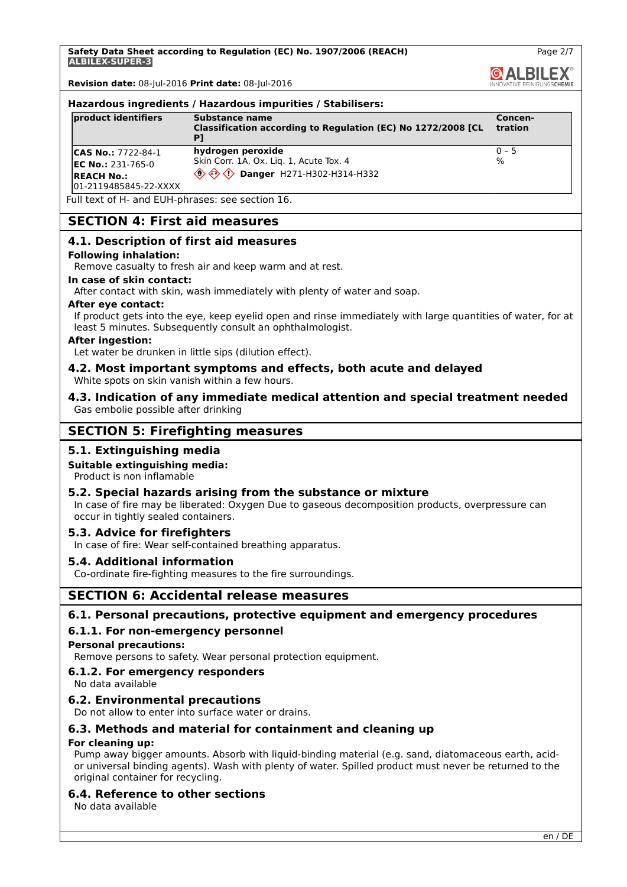**Safety Data Sheet according to Regulation (EC) No. 1907/2006 (REACH) ALBILEX-SUPER-3**

**Revision date:** 08-Jul-2016 **Print date:** 08-Jul-2016

### **Hazardous ingredients / Hazardous impurities / Stabilisers:**

| product identifiers                                                                             | Substance name<br>Classification according to Regulation (EC) No 1272/2008 [CL                                                                               | Concen-<br><b>tration</b>  |
|-------------------------------------------------------------------------------------------------|--------------------------------------------------------------------------------------------------------------------------------------------------------------|----------------------------|
| <b>CAS No.: 7722-84-1</b><br>$EC No.: 231-765-0$<br><b>IREACH No.:</b><br>01-2119485845-22-XXXX | hydrogen peroxide<br>Skin Corr. 1A, Ox. Liq. 1, Acute Tox. 4<br>$\langle \hat{\mathbb{O}} \hat{\otimes} \hat{\mathbb{O}} \rangle$ Danger H271-H302-H314-H332 | $ 0 - 5 $<br>$\frac{1}{6}$ |

Full text of H- and EUH-phrases: see section 16.

# **SECTION 4: First aid measures**

### **4.1. Description of first aid measures**

### **Following inhalation:**

Remove casualty to fresh air and keep warm and at rest.

### **In case of skin contact:**

After contact with skin, wash immediately with plenty of water and soap.

### **After eye contact:**

If product gets into the eye, keep eyelid open and rinse immediately with large quantities of water, for at least 5 minutes. Subsequently consult an ophthalmologist.

### **After ingestion:**

Let water be drunken in little sips (dilution effect).

### **4.2. Most important symptoms and effects, both acute and delayed** White spots on skin vanish within a few hours.

### **4.3. Indication of any immediate medical attention and special treatment needed** Gas embolie possible after drinking

# **SECTION 5: Firefighting measures**

## **5.1. Extinguishing media**

## **Suitable extinguishing media:**

Product is non inflamable

### **5.2. Special hazards arising from the substance or mixture**

In case of fire may be liberated: Oxygen Due to gaseous decomposition products, overpressure can occur in tightly sealed containers.

### **5.3. Advice for firefighters**

In case of fire: Wear self-contained breathing apparatus.

## **5.4. Additional information**

Co-ordinate fire-fighting measures to the fire surroundings.

# **SECTION 6: Accidental release measures**

### **6.1. Personal precautions, protective equipment and emergency procedures**

## **6.1.1. For non-emergency personnel**

**Personal precautions:**

Remove persons to safety. Wear personal protection equipment.

### **6.1.2. For emergency responders**

No data available

### **6.2. Environmental precautions**

Do not allow to enter into surface water or drains.

## **6.3. Methods and material for containment and cleaning up**

### **For cleaning up:**

Pump away bigger amounts. Absorb with liquid-binding material (e.g. sand, diatomaceous earth, acidor universal binding agents). Wash with plenty of water. Spilled product must never be returned to the original container for recycling.

## **6.4. Reference to other sections**

No data available

Page 2/7

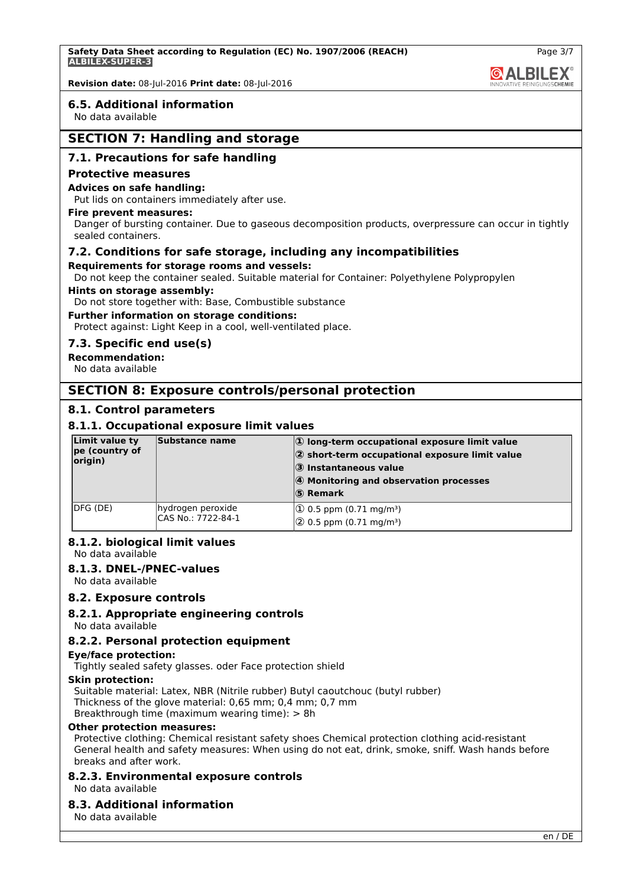

Page 3/7

**Revision date:** 08-Jul-2016 **Print date:** 08-Jul-2016

### **6.5. Additional information**

No data available

# **SECTION 7: Handling and storage**

### **7.1. Precautions for safe handling**

#### **Protective measures**

### **Advices on safe handling:**

Put lids on containers immediately after use.

#### **Fire prevent measures:**

Danger of bursting container. Due to gaseous decomposition products, overpressure can occur in tightly sealed containers.

### **7.2. Conditions for safe storage, including any incompatibilities**

#### **Requirements for storage rooms and vessels:**

Do not keep the container sealed. Suitable material for Container: Polyethylene Polypropylen

#### **Hints on storage assembly:**

Do not store together with: Base, Combustible substance

### **Further information on storage conditions:**

Protect against: Light Keep in a cool, well-ventilated place.

### **7.3. Specific end use(s)**

## **Recommendation:**

No data available

## **SECTION 8: Exposure controls/personal protection**

### **8.1. Control parameters**

### **8.1.1. Occupational exposure limit values**

| Limit value ty<br>pe (country of<br>origin) | Substance name                          | $ 1\rangle$ long-term occupational exposure limit value<br>$ 2\rangle$ short-term occupational exposure limit value<br>3 Instantaneous value<br>4 Monitoring and observation processes<br>$ S $ Remark |
|---------------------------------------------|-----------------------------------------|--------------------------------------------------------------------------------------------------------------------------------------------------------------------------------------------------------|
| IDFG (DE)                                   | hydrogen peroxide<br>CAS No.: 7722-84-1 | $ 10 \t{.}5 \text{ ppm} (0.71 \text{ mg/m}^3) $<br>$(2)$ 0.5 ppm (0.71 mg/m <sup>3</sup> )                                                                                                             |

## **8.1.2. biological limit values**

No data available

### **8.1.3. DNEL-/PNEC-values**

No data available

### **8.2. Exposure controls**

### **8.2.1. Appropriate engineering controls**

No data available

### **8.2.2. Personal protection equipment**

### **Eye/face protection:**

Tightly sealed safety glasses. oder Face protection shield

#### **Skin protection:**

Suitable material: Latex, NBR (Nitrile rubber) Butyl caoutchouc (butyl rubber) Thickness of the glove material: 0,65 mm; 0,4 mm; 0,7 mm Breakthrough time (maximum wearing time): > 8h

#### **Other protection measures:**

Protective clothing: Chemical resistant safety shoes Chemical protection clothing acid-resistant General health and safety measures: When using do not eat, drink, smoke, sniff. Wash hands before breaks and after work.

## **8.2.3. Environmental exposure controls**

No data available

### **8.3. Additional information**

No data available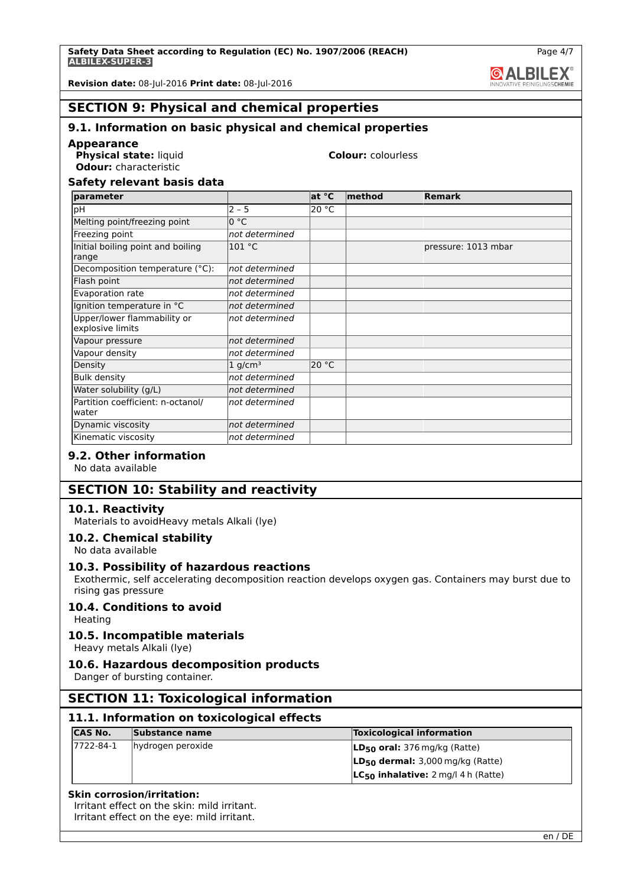**& ALBILEX** 

Page 4/7

**Revision date:** 08-Jul-2016 **Print date:** 08-Jul-2016

# **SECTION 9: Physical and chemical properties**

# **9.1. Information on basic physical and chemical properties**

**Appearance**

**Physical state:** liquid **Colour:** colourless **Odour:** characteristic

## **Safety relevant basis data**

| parameter                                       |                       | at °C | $ $ method | Remark              |
|-------------------------------------------------|-----------------------|-------|------------|---------------------|
| þН                                              | $2 - 5$               | 20 °C |            |                     |
| Melting point/freezing point                    | 0 °C                  |       |            |                     |
| Freezing point                                  | not determined        |       |            |                     |
| Initial boiling point and boiling<br>range      | 101 °C                |       |            | pressure: 1013 mbar |
| Decomposition temperature (°C):                 | not determined        |       |            |                     |
| Flash point                                     | not determined        |       |            |                     |
| Evaporation rate                                | not determined        |       |            |                     |
| Ignition temperature in °C                      | not determined        |       |            |                     |
| Upper/lower flammability or<br>explosive limits | not determined        |       |            |                     |
| Vapour pressure                                 | not determined        |       |            |                     |
| Vapour density                                  | not determined        |       |            |                     |
| Density                                         | $1$ g/cm <sup>3</sup> | 20 °C |            |                     |
| <b>Bulk density</b>                             | not determined        |       |            |                     |
| Water solubility (g/L)                          | not determined        |       |            |                     |
| Partition coefficient: n-octanol/<br>water      | not determined        |       |            |                     |
| Dynamic viscosity                               | not determined        |       |            |                     |
| Kinematic viscosity                             | not determined        |       |            |                     |

## **9.2. Other information**

No data available

# **SECTION 10: Stability and reactivity**

## **10.1. Reactivity**

Materials to avoidHeavy metals Alkali (lye)

## **10.2. Chemical stability**

No data available

## **10.3. Possibility of hazardous reactions**

Exothermic, self accelerating decomposition reaction develops oxygen gas. Containers may burst due to rising gas pressure

# **10.4. Conditions to avoid**

Heating

## **10.5. Incompatible materials**

Heavy metals Alkali (lye)

# **10.6. Hazardous decomposition products**

Danger of bursting container.

# **SECTION 11: Toxicological information**

# **11.1. Information on toxicological effects**

| <b>CAS No.</b> | Substance name    | <b>Toxicological information</b>         |
|----------------|-------------------|------------------------------------------|
| 7722-84-1      | hydrogen peroxide | $LD_{50}$ oral: 376 mg/kg (Ratte)        |
|                |                   | $LD_{50}$ dermal: 3,000 mg/kg (Ratte)    |
|                |                   | $LC_{50}$ inhalative: 2 mg/l 4 h (Ratte) |

### **Skin corrosion/irritation:**

Irritant effect on the skin: mild irritant.

Irritant effect on the eye: mild irritant.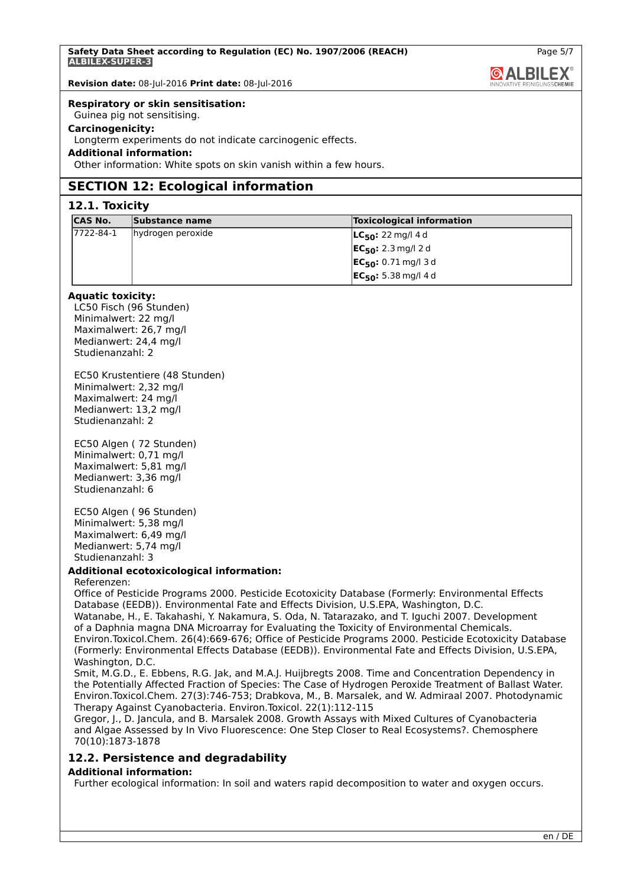**GALBILEX** 

Page 5/7

**Revision date:** 08-Jul-2016 **Print date:** 08-Jul-2016

## **Respiratory or skin sensitisation:**

Guinea pig not sensitising.

## **Carcinogenicity:**

Longterm experiments do not indicate carcinogenic effects.

## **Additional information:**

Other information: White spots on skin vanish within a few hours.

# **SECTION 12: Ecological information**

# **12.1. Toxicity**

| <b>ICAS No.</b>  | Substance name    | <b>Toxicological information</b>     |
|------------------|-------------------|--------------------------------------|
| $17722 - 84 - 1$ | hydrogen peroxide | <b>LC<sub>50</sub>:</b> 22 mg/l 4 d  |
|                  |                   | <b>EC<sub>50</sub>:</b> 2.3 mg/l 2 d |
|                  |                   | $ EC_{50}: 0.71 \text{ mg}/13 d$     |
|                  |                   | $ EC_{50}: 5.38 \text{ mg}/14 d$     |

### **Aquatic toxicity:**

LC50 Fisch (96 Stunden) Minimalwert: 22 mg/l Maximalwert: 26,7 mg/l Medianwert: 24,4 mg/l Studienanzahl: 2

EC50 Krustentiere (48 Stunden) Minimalwert: 2,32 mg/l Maximalwert: 24 mg/l Medianwert: 13,2 mg/l Studienanzahl: 2

EC50 Algen ( 72 Stunden) Minimalwert: 0,71 mg/l Maximalwert: 5,81 mg/l Medianwert: 3,36 mg/l Studienanzahl: 6

EC50 Algen ( 96 Stunden) Minimalwert: 5,38 mg/l Maximalwert: 6,49 mg/l Medianwert: 5,74 mg/l Studienanzahl: 3

### **Additional ecotoxicological information:**

### Referenzen:

Office of Pesticide Programs 2000. Pesticide Ecotoxicity Database (Formerly: Environmental Effects Database (EEDB)). Environmental Fate and Effects Division, U.S.EPA, Washington, D.C. Watanabe, H., E. Takahashi, Y. Nakamura, S. Oda, N. Tatarazako, and T. Iguchi 2007. Development of a Daphnia magna DNA Microarray for Evaluating the Toxicity of Environmental Chemicals. Environ.Toxicol.Chem. 26(4):669-676; Office of Pesticide Programs 2000. Pesticide Ecotoxicity Database (Formerly: Environmental Effects Database (EEDB)). Environmental Fate and Effects Division, U.S.EPA, Washington, D.C.

Smit, M.G.D., E. Ebbens, R.G. Jak, and M.A.J. Huijbregts 2008. Time and Concentration Dependency in the Potentially Affected Fraction of Species: The Case of Hydrogen Peroxide Treatment of Ballast Water. Environ.Toxicol.Chem. 27(3):746-753; Drabkova, M., B. Marsalek, and W. Admiraal 2007. Photodynamic Therapy Against Cyanobacteria. Environ.Toxicol. 22(1):112-115

Gregor, J., D. Jancula, and B. Marsalek 2008. Growth Assays with Mixed Cultures of Cyanobacteria and Algae Assessed by In Vivo Fluorescence: One Step Closer to Real Ecosystems?. Chemosphere 70(10):1873-1878

# **12.2. Persistence and degradability**

### **Additional information:**

Further ecological information: In soil and waters rapid decomposition to water and oxygen occurs.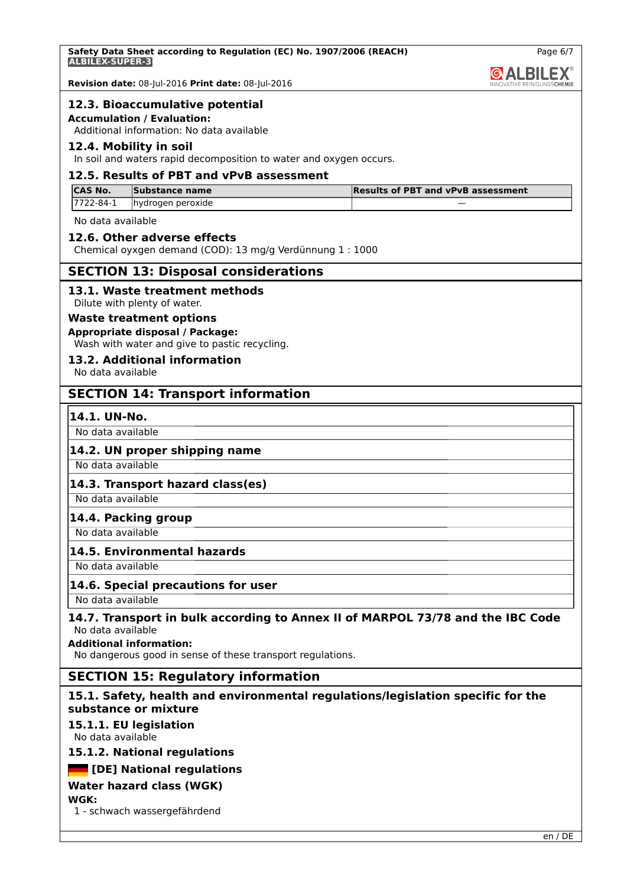**Safety Data Sheet according to Regulation (EC) No. 1907/2006 (REACH) ALBILEX-SUPER-3**

Page 6/7

**QALBILEX** 

**Revision date:** 08-Jul-2016 **Print date:** 08-Jul-2016

# **12.3. Bioaccumulative potential**

**Accumulation / Evaluation:**

Additional information: No data available

# **12.4. Mobility in soil**

In soil and waters rapid decomposition to water and oxygen occurs.

# **12.5. Results of PBT and vPvB assessment**

| <b>ICAS No.</b> | Substance name    | <b>Results of PBT and vPvB assessment</b> |
|-----------------|-------------------|-------------------------------------------|
| 17722-84-1      | hydrogen peroxide |                                           |

No data available

# **12.6. Other adverse effects**

Chemical oyxgen demand (COD): 13 mg/g Verdünnung 1 : 1000

# **SECTION 13: Disposal considerations**

# **13.1. Waste treatment methods**

Dilute with plenty of water.

### **Waste treatment options Appropriate disposal / Package:**

Wash with water and give to pastic recycling.

# **13.2. Additional information**

No data available

# **SECTION 14: Transport information**

## **14.1. UN-No.**

No data available

## **14.2. UN proper shipping name**

No data available

## **14.3. Transport hazard class(es)**

No data available

# **14.4. Packing group**

No data available

## **14.5. Environmental hazards**

No data available

## **14.6. Special precautions for user**

No data available

# **14.7. Transport in bulk according to Annex II of MARPOL 73/78 and the IBC Code** No data available

**Additional information:**

No dangerous good in sense of these transport regulations.

# **SECTION 15: Regulatory information**

# **15.1. Safety, health and environmental regulations/legislation specific for the substance or mixture**

# **15.1.1. EU legislation**

No data available

# **15.1.2. National regulations**

 **[DE] National regulations**

# **Water hazard class (WGK)**

**WGK:**

1 - schwach wassergefährdend